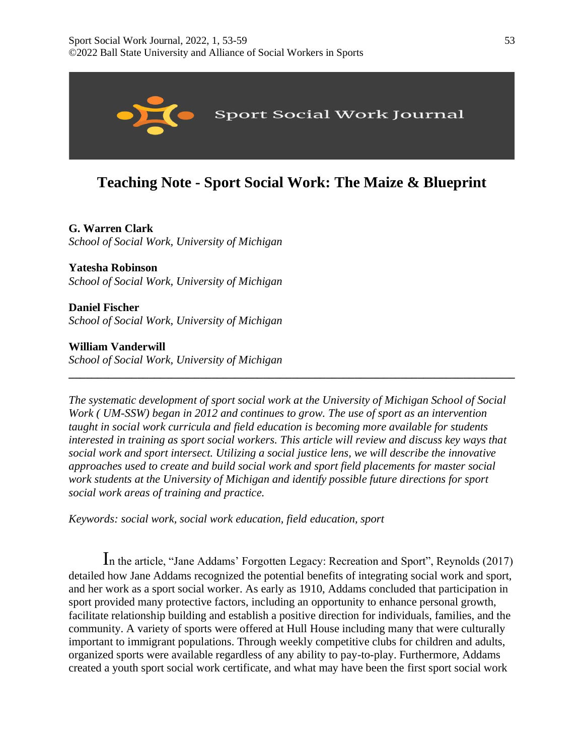

# **Teaching Note - Sport Social Work: The Maize & Blueprint**

# **G. Warren Clark**

*School of Social Work, University of Michigan* 

# **Yatesha Robinson**

*School of Social Work, University of Michigan* 

**Daniel Fischer**  *School of Social Work, University of Michigan* 

**William Vanderwill**  *School of Social Work, University of Michigan* 

*The systematic development of sport social work at the University of Michigan School of Social Work ( UM-SSW) began in 2012 and continues to grow. The use of sport as an intervention taught in social work curricula and field education is becoming more available for students interested in training as sport social workers. This article will review and discuss key ways that social work and sport intersect. Utilizing a social justice lens, we will describe the innovative approaches used to create and build social work and sport field placements for master social work students at the University of Michigan and identify possible future directions for sport social work areas of training and practice.*

**\_\_\_\_\_\_\_\_\_\_\_\_\_\_\_\_\_\_\_\_\_\_\_\_\_\_\_\_\_\_\_\_\_\_\_\_\_\_\_\_\_\_\_\_\_\_\_\_\_\_\_\_\_\_\_\_\_\_\_\_\_\_\_\_\_\_\_\_\_\_\_\_\_\_\_\_\_\_**

*Keywords: social work, social work education, field education, sport*

In the article, "Jane Addams' Forgotten Legacy: Recreation and Sport", Reynolds (2017) detailed how Jane Addams recognized the potential benefits of integrating social work and sport, and her work as a sport social worker. As early as 1910, Addams concluded that participation in sport provided many protective factors, including an opportunity to enhance personal growth, facilitate relationship building and establish a positive direction for individuals, families, and the community. A variety of sports were offered at Hull House including many that were culturally important to immigrant populations. Through weekly competitive clubs for children and adults, organized sports were available regardless of any ability to pay-to-play. Furthermore, Addams created a youth sport social work certificate, and what may have been the first sport social work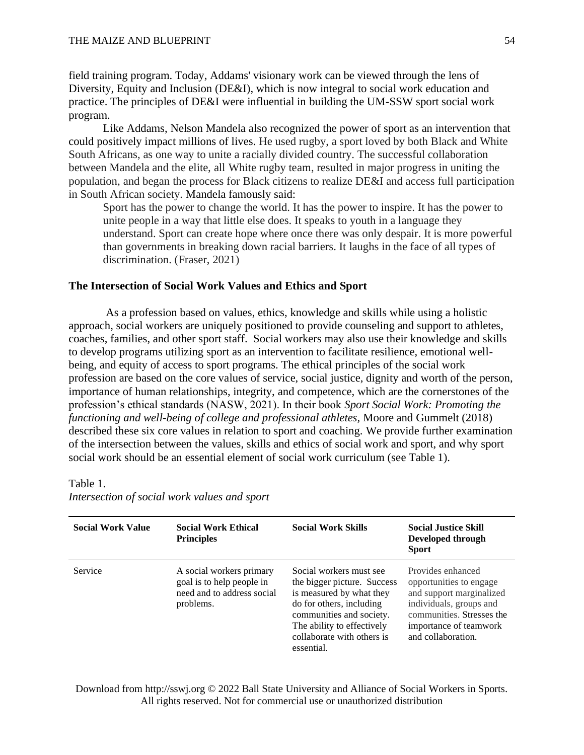field training program. Today, Addams' visionary work can be viewed through the lens of Diversity, Equity and Inclusion (DE&I), which is now integral to social work education and practice. The principles of DE&I were influential in building the UM-SSW sport social work program.

Like Addams, Nelson Mandela also recognized the power of sport as an intervention that could positively impact millions of lives. He used rugby, a sport loved by both Black and White South Africans, as one way to unite a racially divided country. The successful collaboration between Mandela and the elite, all White rugby team, resulted in major progress in uniting the population, and began the process for Black citizens to realize DE&I and access full participation in South African society. Mandela famously said:

Sport has the power to change the world. It has the power to inspire. It has the power to unite people in a way that little else does. It speaks to youth in a language they understand. Sport can create hope where once there was only despair. It is more powerful than governments in breaking down racial barriers. It laughs in the face of all types of discrimination. (Fraser, 2021)

## **The Intersection of Social Work Values and Ethics and Sport**

 As a profession based on values, ethics, knowledge and skills while using a holistic approach, social workers are uniquely positioned to provide counseling and support to athletes, coaches, families, and other sport staff. Social workers may also use their knowledge and skills to develop programs utilizing sport as an intervention to facilitate resilience, emotional wellbeing, and equity of access to sport programs. The ethical principles of the social work profession are based on the core values of service, social justice, dignity and worth of the person, importance of human relationships, integrity, and competence, which are the cornerstones of the profession's ethical standards (NASW, 2021). In their book *Sport Social Work: Promoting the functioning and well-being of college and professional athletes,* Moore and Gummelt (2018) described these six core values in relation to sport and coaching. We provide further examination of the intersection between the values, skills and ethics of social work and sport, and why sport social work should be an essential element of social work curriculum (see Table 1).

#### Table 1.

| <b>Social Work Value</b> | <b>Social Work Ethical</b><br><b>Principles</b>                                                  | <b>Social Work Skills</b>                                                                                                                                                                                            | <b>Social Justice Skill</b><br>Developed through<br><b>Sport</b>                                                                                                                 |
|--------------------------|--------------------------------------------------------------------------------------------------|----------------------------------------------------------------------------------------------------------------------------------------------------------------------------------------------------------------------|----------------------------------------------------------------------------------------------------------------------------------------------------------------------------------|
| Service                  | A social workers primary<br>goal is to help people in<br>need and to address social<br>problems. | Social workers must see<br>the bigger picture. Success<br>is measured by what they<br>do for others, including<br>communities and society.<br>The ability to effectively<br>collaborate with others is<br>essential. | Provides enhanced<br>opportunities to engage<br>and support marginalized<br>individuals, groups and<br>communities. Stresses the<br>importance of teamwork<br>and collaboration. |

*Intersection of social work values and sport*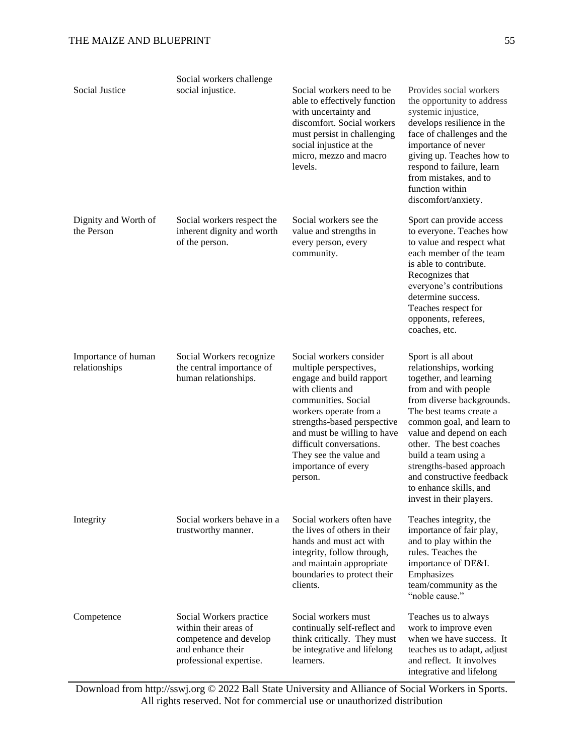| Social Justice                       | Social workers challenge<br>social injustice.                                                                              | Social workers need to be<br>able to effectively function<br>with uncertainty and<br>discomfort. Social workers<br>must persist in challenging<br>social injustice at the<br>micro, mezzo and macro<br>levels.                                                                                           | Provides social workers<br>the opportunity to address<br>systemic injustice,<br>develops resilience in the<br>face of challenges and the<br>importance of never<br>giving up. Teaches how to<br>respond to failure, learn<br>from mistakes, and to<br>function within<br>discomfort/anxiety.                                                                                      |
|--------------------------------------|----------------------------------------------------------------------------------------------------------------------------|----------------------------------------------------------------------------------------------------------------------------------------------------------------------------------------------------------------------------------------------------------------------------------------------------------|-----------------------------------------------------------------------------------------------------------------------------------------------------------------------------------------------------------------------------------------------------------------------------------------------------------------------------------------------------------------------------------|
| Dignity and Worth of<br>the Person   | Social workers respect the<br>inherent dignity and worth<br>of the person.                                                 | Social workers see the<br>value and strengths in<br>every person, every<br>community.                                                                                                                                                                                                                    | Sport can provide access<br>to everyone. Teaches how<br>to value and respect what<br>each member of the team<br>is able to contribute.<br>Recognizes that<br>everyone's contributions<br>determine success.<br>Teaches respect for<br>opponents, referees,<br>coaches, etc.                                                                                                       |
| Importance of human<br>relationships | Social Workers recognize<br>the central importance of<br>human relationships.                                              | Social workers consider<br>multiple perspectives,<br>engage and build rapport<br>with clients and<br>communities. Social<br>workers operate from a<br>strengths-based perspective<br>and must be willing to have<br>difficult conversations.<br>They see the value and<br>importance of every<br>person. | Sport is all about<br>relationships, working<br>together, and learning<br>from and with people<br>from diverse backgrounds.<br>The best teams create a<br>common goal, and learn to<br>value and depend on each<br>other. The best coaches<br>build a team using a<br>strengths-based approach<br>and constructive feedback<br>to enhance skills, and<br>invest in their players. |
| Integrity                            | Social workers behave in a<br>trustworthy manner.                                                                          | Social workers often have<br>the lives of others in their<br>hands and must act with<br>integrity, follow through,<br>and maintain appropriate<br>boundaries to protect their<br>clients.                                                                                                                | Teaches integrity, the<br>importance of fair play,<br>and to play within the<br>rules. Teaches the<br>importance of DE&I.<br>Emphasizes<br>team/community as the<br>"noble cause."                                                                                                                                                                                                |
| Competence                           | Social Workers practice<br>within their areas of<br>competence and develop<br>and enhance their<br>professional expertise. | Social workers must<br>continually self-reflect and<br>think critically. They must<br>be integrative and lifelong<br>learners.                                                                                                                                                                           | Teaches us to always<br>work to improve even<br>when we have success. It<br>teaches us to adapt, adjust<br>and reflect. It involves<br>integrative and lifelong                                                                                                                                                                                                                   |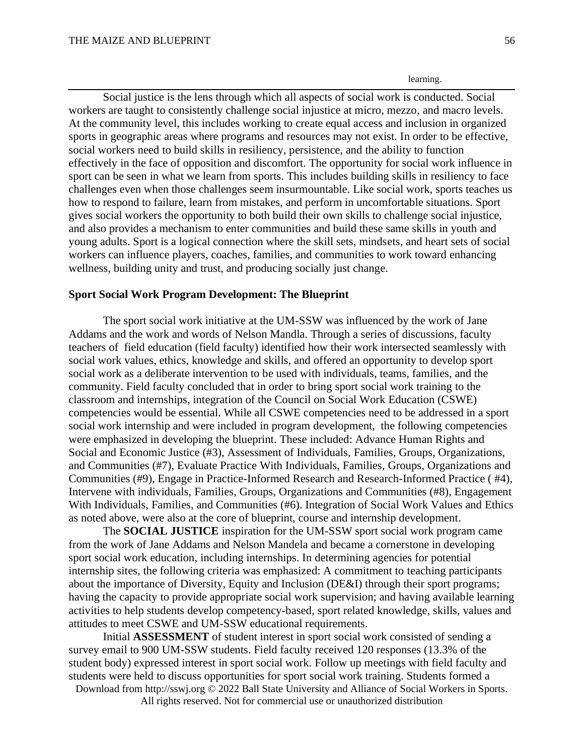learning.

Social justice is the lens through which all aspects of social work is conducted. Social workers are taught to consistently challenge social injustice at micro, mezzo, and macro levels. At the community level, this includes working to create equal access and inclusion in organized sports in geographic areas where programs and resources may not exist. In order to be effective, social workers need to build skills in resiliency, persistence, and the ability to function effectively in the face of opposition and discomfort. The opportunity for social work influence in sport can be seen in what we learn from sports. This includes building skills in resiliency to face challenges even when those challenges seem insurmountable. Like social work, sports teaches us how to respond to failure, learn from mistakes, and perform in uncomfortable situations. Sport gives social workers the opportunity to both build their own skills to challenge social injustice, and also provides a mechanism to enter communities and build these same skills in youth and young adults. Sport is a logical connection where the skill sets, mindsets, and heart sets of social workers can influence players, coaches, families, and communities to work toward enhancing wellness, building unity and trust, and producing socially just change.

## **Sport Social Work Program Development: The Blueprint**

The sport social work initiative at the UM-SSW was influenced by the work of Jane Addams and the work and words of Nelson Mandla. Through a series of discussions, faculty teachers of field education (field faculty) identified how their work intersected seamlessly with social work values, ethics, knowledge and skills, and offered an opportunity to develop sport social work as a deliberate intervention to be used with individuals, teams, families, and the community. Field faculty concluded that in order to bring sport social work training to the classroom and internships, integration of the Council on Social Work Education (CSWE) competencies would be essential. While all CSWE competencies need to be addressed in a sport social work internship and were included in program development, the following competencies were emphasized in developing the blueprint. These included: Advance Human Rights and Social and Economic Justice (#3), Assessment of Individuals, Families, Groups, Organizations, and Communities (#7), Evaluate Practice With Individuals, Families, Groups, Organizations and Communities (#9), Engage in Practice-Informed Research and Research-Informed Practice ( #4), Intervene with individuals, Families, Groups, Organizations and Communities (#8), Engagement With Individuals, Families, and Communities (#6). Integration of Social Work Values and Ethics as noted above, were also at the core of blueprint, course and internship development.

 The **SOCIAL JUSTICE** inspiration for the UM-SSW sport social work program came from the work of Jane Addams and Nelson Mandela and became a cornerstone in developing sport social work education, including internships. In determining agencies for potential internship sites, the following criteria was emphasized: A commitment to teaching participants about the importance of Diversity, Equity and Inclusion (DE&I) through their sport programs; having the capacity to provide appropriate social work supervision; and having available learning activities to help students develop competency-based, sport related knowledge, skills, values and attitudes to meet CSWE and UM-SSW educational requirements.

Initial **ASSESSMENT** of student interest in sport social work consisted of sending a survey email to 900 UM-SSW students. Field faculty received 120 responses (13.3% of the student body) expressed interest in sport social work. Follow up meetings with field faculty and students were held to discuss opportunities for sport social work training. Students formed a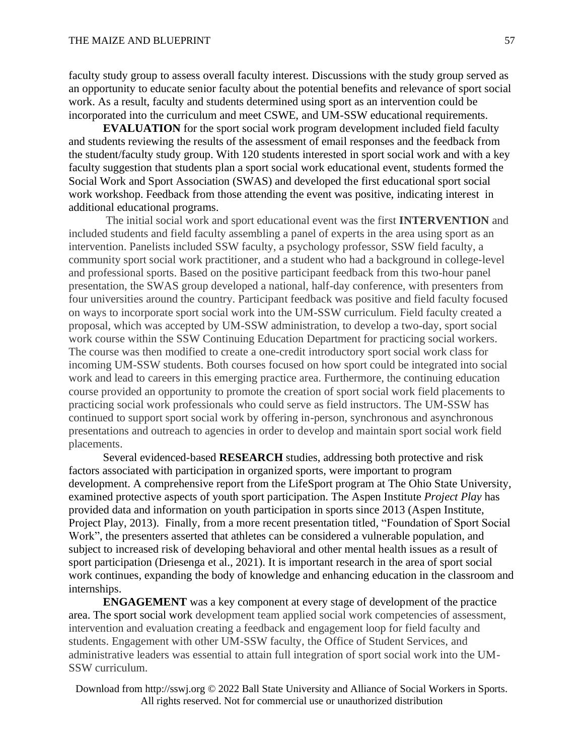faculty study group to assess overall faculty interest. Discussions with the study group served as an opportunity to educate senior faculty about the potential benefits and relevance of sport social work. As a result, faculty and students determined using sport as an intervention could be incorporated into the curriculum and meet CSWE, and UM-SSW educational requirements.

**EVALUATION** for the sport social work program development included field faculty and students reviewing the results of the assessment of email responses and the feedback from the student/faculty study group. With 120 students interested in sport social work and with a key faculty suggestion that students plan a sport social work educational event, students formed the Social Work and Sport Association (SWAS) and developed the first educational sport social work workshop. Feedback from those attending the event was positive, indicating interest in additional educational programs.

The initial social work and sport educational event was the first **INTERVENTION** and included students and field faculty assembling a panel of experts in the area using sport as an intervention. Panelists included SSW faculty, a psychology professor, SSW field faculty, a community sport social work practitioner, and a student who had a background in college-level and professional sports. Based on the positive participant feedback from this two-hour panel presentation, the SWAS group developed a national, half-day conference, with presenters from four universities around the country. Participant feedback was positive and field faculty focused on ways to incorporate sport social work into the UM-SSW curriculum. Field faculty created a proposal, which was accepted by UM-SSW administration, to develop a two-day, sport social work course within the SSW Continuing Education Department for practicing social workers. The course was then modified to create a one-credit introductory sport social work class for incoming UM-SSW students. Both courses focused on how sport could be integrated into social work and lead to careers in this emerging practice area. Furthermore, the continuing education course provided an opportunity to promote the creation of sport social work field placements to practicing social work professionals who could serve as field instructors. The UM-SSW has continued to support sport social work by offering in-person, synchronous and asynchronous presentations and outreach to agencies in order to develop and maintain sport social work field placements.

Several evidenced-based **RESEARCH** studies, addressing both protective and risk factors associated with participation in organized sports, were important to program development. A comprehensive report from the LifeSport program at The Ohio State University, examined protective aspects of youth sport participation. The Aspen Institute *Project Play* has provided data and information on youth participation in sports since 2013 (Aspen Institute, Project Play, 2013). Finally, from a more recent presentation titled, "Foundation of Sport Social Work", the presenters asserted that athletes can be considered a vulnerable population, and subject to increased risk of developing behavioral and other mental health issues as a result of sport participation (Driesenga et al., 2021). It is important research in the area of sport social work continues, expanding the body of knowledge and enhancing education in the classroom and internships.

**ENGAGEMENT** was a key component at every stage of development of the practice area. The sport social work development team applied social work competencies of assessment, intervention and evaluation creating a feedback and engagement loop for field faculty and students. Engagement with other UM-SSW faculty, the Office of Student Services, and administrative leaders was essential to attain full integration of sport social work into the UM-SSW curriculum.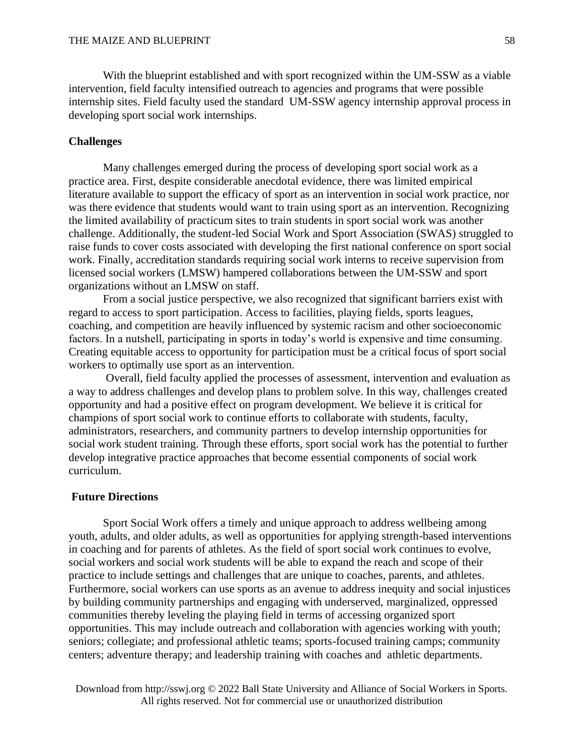With the blueprint established and with sport recognized within the UM-SSW as a viable intervention, field faculty intensified outreach to agencies and programs that were possible internship sites. Field faculty used the standard UM-SSW agency internship approval process in developing sport social work internships.

## **Challenges**

Many challenges emerged during the process of developing sport social work as a practice area. First, despite considerable anecdotal evidence, there was limited empirical literature available to support the efficacy of sport as an intervention in social work practice, nor was there evidence that students would want to train using sport as an intervention. Recognizing the limited availability of practicum sites to train students in sport social work was another challenge. Additionally, the student-led Social Work and Sport Association (SWAS) struggled to raise funds to cover costs associated with developing the first national conference on sport social work. Finally, accreditation standards requiring social work interns to receive supervision from licensed social workers (LMSW) hampered collaborations between the UM-SSW and sport organizations without an LMSW on staff.

From a social justice perspective, we also recognized that significant barriers exist with regard to access to sport participation. Access to facilities, playing fields, sports leagues, coaching, and competition are heavily influenced by systemic racism and other socioeconomic factors. In a nutshell, participating in sports in today's world is expensive and time consuming. Creating equitable access to opportunity for participation must be a critical focus of sport social workers to optimally use sport as an intervention.

Overall, field faculty applied the processes of assessment, intervention and evaluation as a way to address challenges and develop plans to problem solve. In this way, challenges created opportunity and had a positive effect on program development. We believe it is critical for champions of sport social work to continue efforts to collaborate with students, faculty, administrators, researchers, and community partners to develop internship opportunities for social work student training. Through these efforts, sport social work has the potential to further develop integrative practice approaches that become essential components of social work curriculum.

#### **Future Directions**

Sport Social Work offers a timely and unique approach to address wellbeing among youth, adults, and older adults, as well as opportunities for applying strength-based interventions in coaching and for parents of athletes. As the field of sport social work continues to evolve, social workers and social work students will be able to expand the reach and scope of their practice to include settings and challenges that are unique to coaches, parents, and athletes. Furthermore, social workers can use sports as an avenue to address inequity and social injustices by building community partnerships and engaging with underserved, marginalized, oppressed communities thereby leveling the playing field in terms of accessing organized sport opportunities. This may include outreach and collaboration with agencies working with youth; seniors; collegiate; and professional athletic teams; sports-focused training camps; community centers; adventure therapy; and leadership training with coaches and athletic departments.